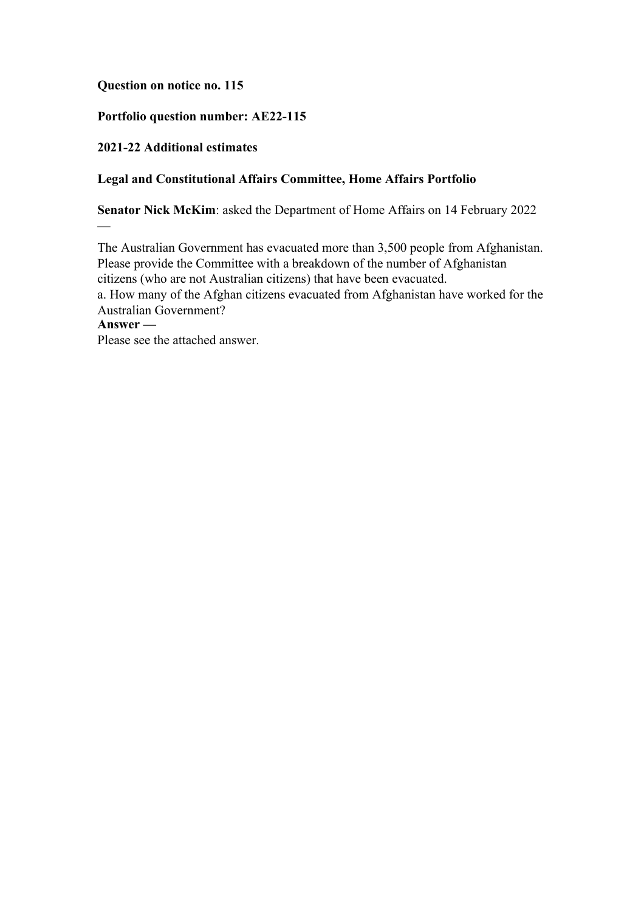## **Question on notice no. 115**

## **Portfolio question number: AE22-115**

### **2021-22 Additional estimates**

 $\overline{\phantom{0}}$ 

### **Legal and Constitutional Affairs Committee, Home Affairs Portfolio**

**Senator Nick McKim**: asked the Department of Home Affairs on 14 February 2022

The Australian Government has evacuated more than 3,500 people from Afghanistan. Please provide the Committee with a breakdown of the number of Afghanistan citizens (who are not Australian citizens) that have been evacuated. a. How many of the Afghan citizens evacuated from Afghanistan have worked for the Australian Government? **Answer —** Please see the attached answer.